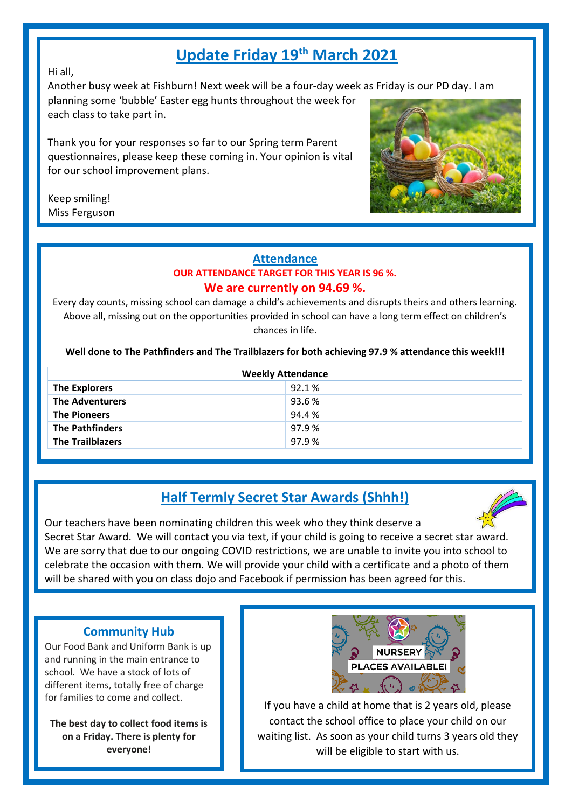# **Update Friday 19th March 2021**

Hi all,

Another busy week at Fishburn! Next week will be a four-day week as Friday is our PD day. I am

planning some 'bubble' Easter egg hunts throughout the week for each class to take part in.

Thank you for your responses so far to our Spring term Parent questionnaires, please keep these coming in. Your opinion is vital for our school improvement plans.

Keep smiling! Miss Ferguson



#### **Attendance OUR ATTENDANCE TARGET FOR THIS YEAR IS 96 %. We are currently on 94.69 %.**

Every day counts, missing school can damage a child's achievements and disrupts theirs and others learning. Above all, missing out on the opportunities provided in school can have a long term effect on children's chances in life.

**Well done to The Pathfinders and The Trailblazers for both achieving 97.9 % attendance this week!!!**

| <b>Weekly Attendance</b> |       |  |
|--------------------------|-------|--|
| <b>The Explorers</b>     | 92.1% |  |
| <b>The Adventurers</b>   | 93.6% |  |
| <b>The Pioneers</b>      | 94.4% |  |
| <b>The Pathfinders</b>   | 97.9% |  |
| <b>The Trailblazers</b>  | 97.9% |  |

## **Half Termly Secret Star Awards (Shhh!)**



Our teachers have been nominating children this week who they think deserve a Secret Star Award. We will contact you via text, if your child is going to receive a secret star award. We are sorry that due to our ongoing COVID restrictions, we are unable to invite you into school to celebrate the occasion with them. We will provide your child with a certificate and a photo of them will be shared with you on class dojo and Facebook if permission has been agreed for this.

#### **Community Hub**

Our Food Bank and Uniform Bank is up and running in the main entrance to school. We have a stock of lots of different items, totally free of charge for families to come and collect.

**The best day to collect food items is on a Friday. There is plenty for everyone!**



If you have a child at home that is 2 years old, please contact the school office to place your child on our waiting list. As soon as your child turns 3 years old they will be eligible to start with us.